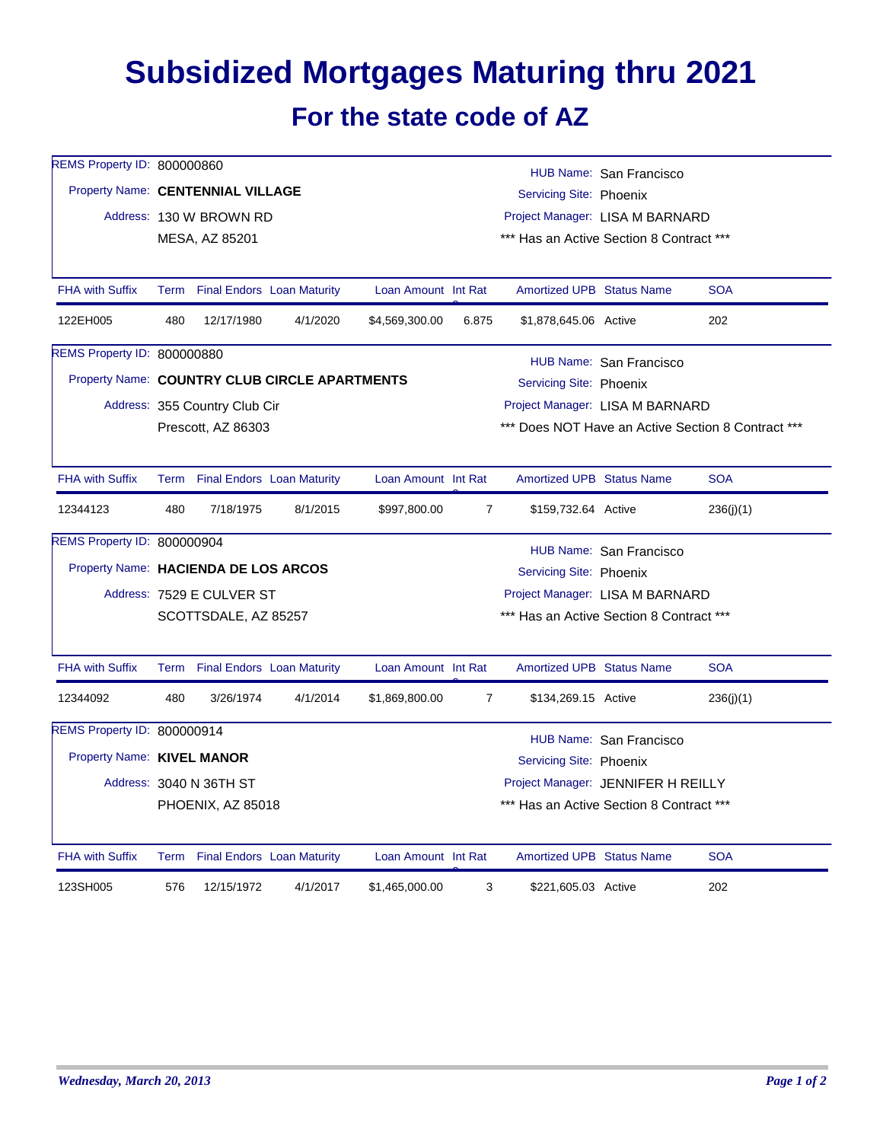## **Subsidized Mortgages Maturing thru 2021 For the state code of AZ**

| REMS Property ID: 800000860 | HUB Name: San Francisco<br>Property Name: CENTENNIAL VILLAGE<br>Servicing Site: Phoenix |                                   |                                               |                     |                                 |                                          |                                    |                                                    |  |  |
|-----------------------------|-----------------------------------------------------------------------------------------|-----------------------------------|-----------------------------------------------|---------------------|---------------------------------|------------------------------------------|------------------------------------|----------------------------------------------------|--|--|
|                             |                                                                                         | Address: 130 W BROWN RD           |                                               |                     | Project Manager: LISA M BARNARD |                                          |                                    |                                                    |  |  |
|                             |                                                                                         | MESA, AZ 85201                    |                                               |                     |                                 | *** Has an Active Section 8 Contract *** |                                    |                                                    |  |  |
| <b>FHA with Suffix</b>      | Term                                                                                    |                                   | <b>Final Endors Loan Maturity</b>             | Loan Amount Int Rat |                                 | <b>Amortized UPB Status Name</b>         |                                    | <b>SOA</b>                                         |  |  |
| 122EH005                    | 480                                                                                     | 12/17/1980                        | 4/1/2020                                      | \$4,569,300.00      | 6.875                           | \$1,878,645.06 Active                    |                                    | 202                                                |  |  |
| REMS Property ID: 800000880 | HUB Name: San Francisco                                                                 |                                   |                                               |                     |                                 |                                          |                                    |                                                    |  |  |
|                             |                                                                                         |                                   | Property Name: COUNTRY CLUB CIRCLE APARTMENTS |                     |                                 | Servicing Site: Phoenix                  |                                    |                                                    |  |  |
|                             |                                                                                         | Address: 355 Country Club Cir     |                                               |                     |                                 |                                          | Project Manager: LISA M BARNARD    |                                                    |  |  |
|                             |                                                                                         | Prescott, AZ 86303                |                                               |                     |                                 |                                          |                                    | *** Does NOT Have an Active Section 8 Contract *** |  |  |
| <b>FHA with Suffix</b>      |                                                                                         | Term Final Endors Loan Maturity   |                                               | Loan Amount Int Rat |                                 | <b>Amortized UPB Status Name</b>         |                                    | <b>SOA</b>                                         |  |  |
| 12344123                    | 480                                                                                     | 7/18/1975                         | 8/1/2015                                      | \$997,800.00        | $\overline{7}$                  | \$159,732.64 Active                      |                                    | 236(j)(1)                                          |  |  |
| REMS Property ID: 800000904 | HUB Name: San Francisco                                                                 |                                   |                                               |                     |                                 |                                          |                                    |                                                    |  |  |
|                             | Property Name: HACIENDA DE LOS ARCOS<br>Servicing Site: Phoenix                         |                                   |                                               |                     |                                 |                                          |                                    |                                                    |  |  |
|                             | Project Manager: LISA M BARNARD<br>Address: 7529 E CULVER ST                            |                                   |                                               |                     |                                 |                                          |                                    |                                                    |  |  |
|                             | *** Has an Active Section 8 Contract ***<br>SCOTTSDALE, AZ 85257                        |                                   |                                               |                     |                                 |                                          |                                    |                                                    |  |  |
| <b>FHA with Suffix</b>      |                                                                                         | Term Final Endors Loan Maturity   |                                               | Loan Amount Int Rat |                                 | <b>Amortized UPB Status Name</b>         |                                    | <b>SOA</b>                                         |  |  |
| 12344092                    | 480                                                                                     | 3/26/1974                         | 4/1/2014                                      | \$1,869,800.00      | $\overline{7}$                  | \$134,269.15 Active                      |                                    | 236(j)(1)                                          |  |  |
| REMS Property ID: 800000914 | HUB Name: San Francisco                                                                 |                                   |                                               |                     |                                 |                                          |                                    |                                                    |  |  |
|                             | Property Name: KIVEL MANOR<br>Servicing Site: Phoenix                                   |                                   |                                               |                     |                                 |                                          |                                    |                                                    |  |  |
|                             | Address: 3040 N 36TH ST                                                                 |                                   |                                               |                     |                                 |                                          | Project Manager: JENNIFER H REILLY |                                                    |  |  |
|                             |                                                                                         | PHOENIX, AZ 85018                 |                                               |                     |                                 | *** Has an Active Section 8 Contract *** |                                    |                                                    |  |  |
| <b>FHA with Suffix</b>      | Term                                                                                    | <b>Final Endors Loan Maturity</b> |                                               | Loan Amount Int Rat |                                 | <b>Amortized UPB Status Name</b>         |                                    | <b>SOA</b>                                         |  |  |
| 123SH005                    | 576                                                                                     | 12/15/1972                        | 4/1/2017                                      | \$1,465,000.00      | 3                               | \$221,605.03 Active                      |                                    | 202                                                |  |  |